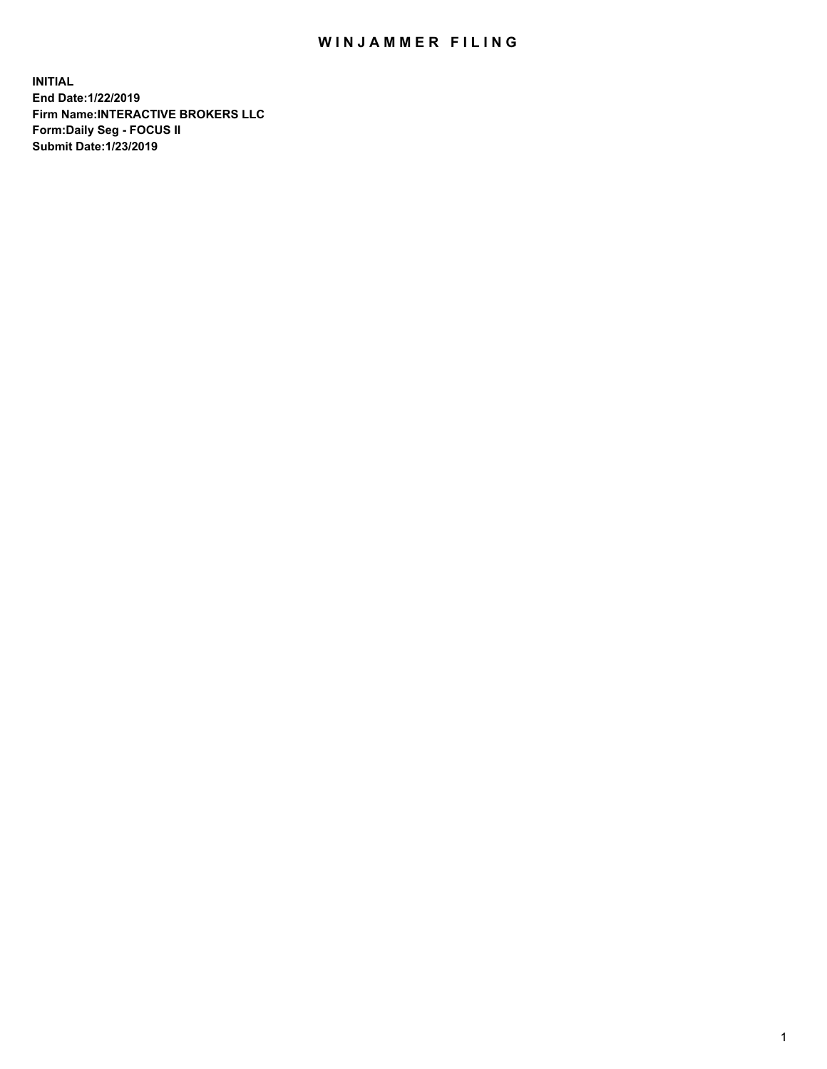## WIN JAMMER FILING

**INITIAL End Date:1/22/2019 Firm Name:INTERACTIVE BROKERS LLC Form:Daily Seg - FOCUS II Submit Date:1/23/2019**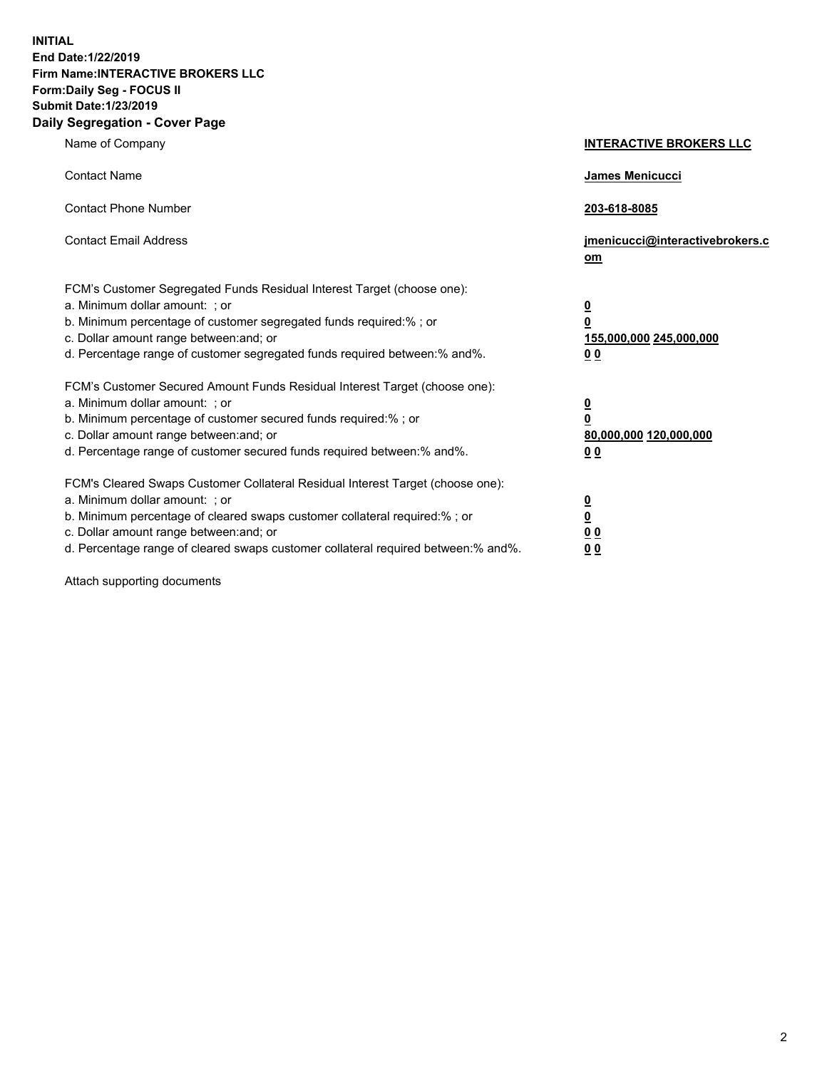**INITIAL End Date:1/22/2019 Firm Name:INTERACTIVE BROKERS LLC Form:Daily Seg - FOCUS II Submit Date:1/23/2019 Daily Segregation - Cover Page**

| Name of Company                                                                                                                                                                                                                                                                                                                | <b>INTERACTIVE BROKERS LLC</b>                                                                  |
|--------------------------------------------------------------------------------------------------------------------------------------------------------------------------------------------------------------------------------------------------------------------------------------------------------------------------------|-------------------------------------------------------------------------------------------------|
| <b>Contact Name</b>                                                                                                                                                                                                                                                                                                            | James Menicucci                                                                                 |
| <b>Contact Phone Number</b>                                                                                                                                                                                                                                                                                                    | 203-618-8085                                                                                    |
| <b>Contact Email Address</b>                                                                                                                                                                                                                                                                                                   | jmenicucci@interactivebrokers.c<br>om                                                           |
| FCM's Customer Segregated Funds Residual Interest Target (choose one):<br>a. Minimum dollar amount: ; or<br>b. Minimum percentage of customer segregated funds required:% ; or<br>c. Dollar amount range between: and; or<br>d. Percentage range of customer segregated funds required between:% and%.                         | $\overline{\mathbf{0}}$<br>$\overline{\mathbf{0}}$<br>155,000,000 245,000,000<br>0 <sub>0</sub> |
| FCM's Customer Secured Amount Funds Residual Interest Target (choose one):<br>a. Minimum dollar amount: ; or<br>b. Minimum percentage of customer secured funds required:%; or<br>c. Dollar amount range between: and; or<br>d. Percentage range of customer secured funds required between:% and%.                            | $\overline{\mathbf{0}}$<br>$\overline{\mathbf{0}}$<br>80,000,000 120,000,000<br>0 <sub>0</sub>  |
| FCM's Cleared Swaps Customer Collateral Residual Interest Target (choose one):<br>a. Minimum dollar amount: ; or<br>b. Minimum percentage of cleared swaps customer collateral required:% ; or<br>c. Dollar amount range between: and; or<br>d. Percentage range of cleared swaps customer collateral required between:% and%. | $\frac{0}{0}$<br>$\underline{0}$ $\underline{0}$<br>0 <sub>0</sub>                              |

Attach supporting documents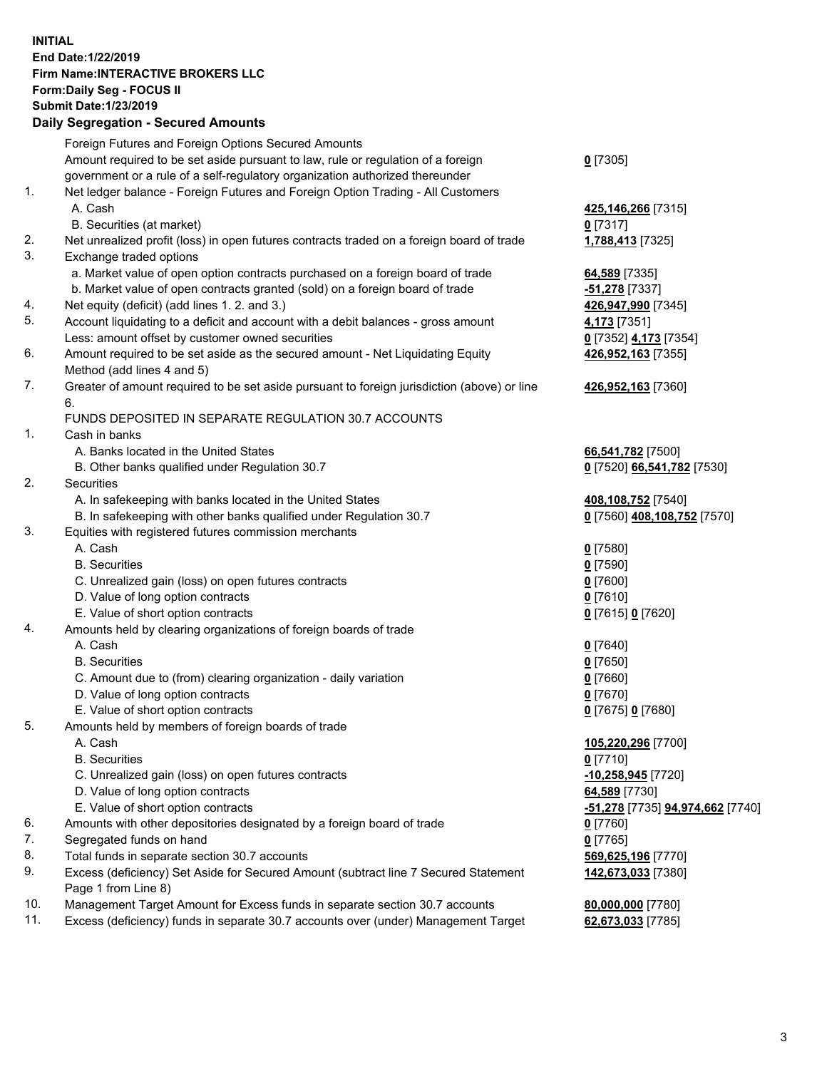## **INITIAL End Date:1/22/2019 Firm Name:INTERACTIVE BROKERS LLC Form:Daily Seg - FOCUS II Submit Date:1/23/2019 Daily Segregation - Secured Amounts**

|                | Dany Ocgregation - Oceaned Anioante                                                         |                                  |
|----------------|---------------------------------------------------------------------------------------------|----------------------------------|
|                | Foreign Futures and Foreign Options Secured Amounts                                         |                                  |
|                | Amount required to be set aside pursuant to law, rule or regulation of a foreign            | $0$ [7305]                       |
|                | government or a rule of a self-regulatory organization authorized thereunder                |                                  |
| 1.             | Net ledger balance - Foreign Futures and Foreign Option Trading - All Customers             |                                  |
|                | A. Cash                                                                                     | 425,146,266 [7315]               |
|                | B. Securities (at market)                                                                   | $0$ [7317]                       |
| 2.             | Net unrealized profit (loss) in open futures contracts traded on a foreign board of trade   | 1,788,413 [7325]                 |
| 3.             | Exchange traded options                                                                     |                                  |
|                | a. Market value of open option contracts purchased on a foreign board of trade              | 64,589 [7335]                    |
|                | b. Market value of open contracts granted (sold) on a foreign board of trade                | -51,278 [7337]                   |
| 4.             | Net equity (deficit) (add lines 1.2. and 3.)                                                | 426,947,990 [7345]               |
| 5.             | Account liquidating to a deficit and account with a debit balances - gross amount           | 4,173 [7351]                     |
|                | Less: amount offset by customer owned securities                                            | 0 [7352] 4,173 [7354]            |
| 6.             | Amount required to be set aside as the secured amount - Net Liquidating Equity              | 426,952,163 [7355]               |
|                | Method (add lines 4 and 5)                                                                  |                                  |
| 7.             | Greater of amount required to be set aside pursuant to foreign jurisdiction (above) or line | 426,952,163 [7360]               |
|                | 6.<br>FUNDS DEPOSITED IN SEPARATE REGULATION 30.7 ACCOUNTS                                  |                                  |
| $\mathbf{1}$ . | Cash in banks                                                                               |                                  |
|                | A. Banks located in the United States                                                       | 66,541,782 [7500]                |
|                | B. Other banks qualified under Regulation 30.7                                              | 0 [7520] 66,541,782 [7530]       |
| 2.             | Securities                                                                                  |                                  |
|                | A. In safekeeping with banks located in the United States                                   | 408,108,752 [7540]               |
|                | B. In safekeeping with other banks qualified under Regulation 30.7                          | 0 [7560] 408,108,752 [7570]      |
| 3.             | Equities with registered futures commission merchants                                       |                                  |
|                | A. Cash                                                                                     | $0$ [7580]                       |
|                | <b>B.</b> Securities                                                                        | $0$ [7590]                       |
|                | C. Unrealized gain (loss) on open futures contracts                                         | $0$ [7600]                       |
|                | D. Value of long option contracts                                                           | $0$ [7610]                       |
|                | E. Value of short option contracts                                                          | 0 [7615] 0 [7620]                |
| 4.             | Amounts held by clearing organizations of foreign boards of trade                           |                                  |
|                | A. Cash                                                                                     | $0$ [7640]                       |
|                | <b>B.</b> Securities                                                                        | $0$ [7650]                       |
|                | C. Amount due to (from) clearing organization - daily variation                             | $0$ [7660]                       |
|                | D. Value of long option contracts                                                           | $0$ [7670]                       |
|                | E. Value of short option contracts                                                          | 0 [7675] 0 [7680]                |
| 5.             | Amounts held by members of foreign boards of trade                                          |                                  |
|                | A. Cash                                                                                     | 105,220,296 [7700]               |
|                | <b>B.</b> Securities                                                                        | $0$ [7710]                       |
|                | C. Unrealized gain (loss) on open futures contracts                                         | -10,258,945 [7720]               |
|                | D. Value of long option contracts                                                           | 64,589 [7730]                    |
|                | E. Value of short option contracts                                                          | -51,278 [7735] 94,974,662 [7740] |
| 6.             | Amounts with other depositories designated by a foreign board of trade                      | 0 [7760]                         |
| 7.             | Segregated funds on hand                                                                    | $0$ [7765]                       |
| 8.             | Total funds in separate section 30.7 accounts                                               | 569,625,196 [7770]               |
| 9.             | Excess (deficiency) Set Aside for Secured Amount (subtract line 7 Secured Statement         | 142,673,033 [7380]               |
|                | Page 1 from Line 8)                                                                         |                                  |
| 10.            | Management Target Amount for Excess funds in separate section 30.7 accounts                 | 80,000,000 [7780]                |
| 11.            | Excess (deficiency) funds in separate 30.7 accounts over (under) Management Target          | 62,673,033 [7785]                |
|                |                                                                                             |                                  |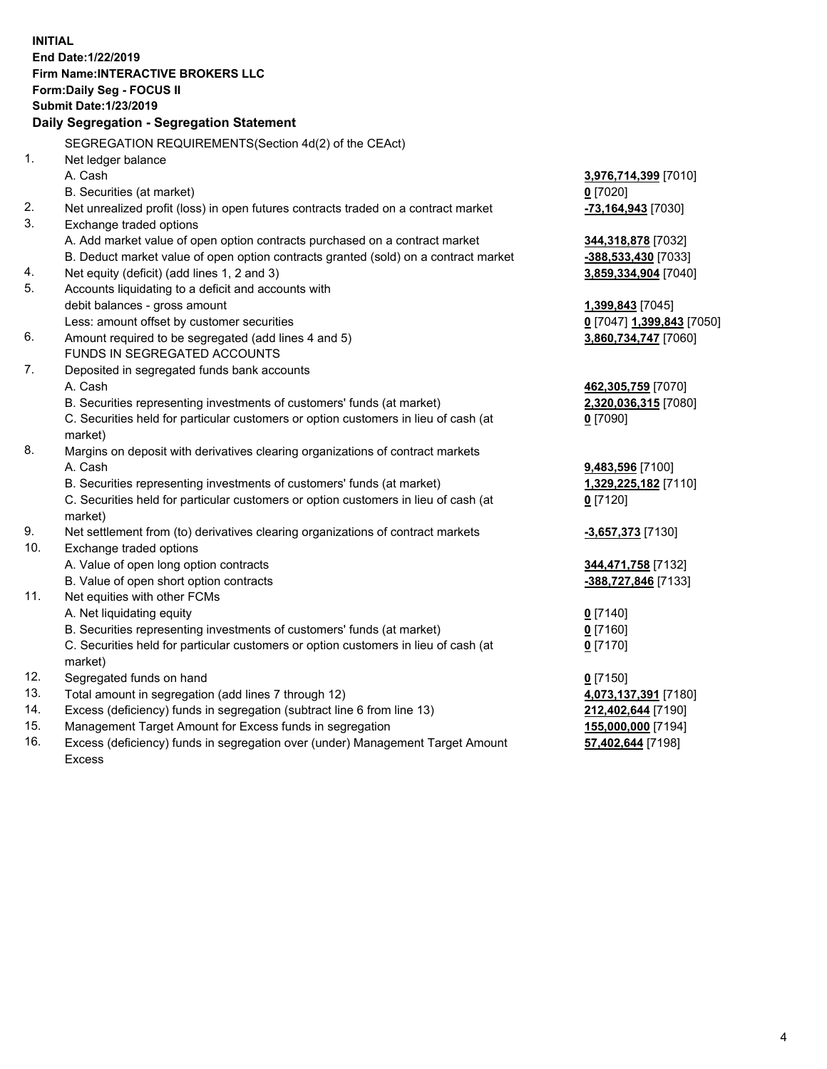**INITIAL End Date:1/22/2019 Firm Name:INTERACTIVE BROKERS LLC Form:Daily Seg - FOCUS II Submit Date:1/23/2019 Daily Segregation - Segregation Statement** SEGREGATION REQUIREMENTS(Section 4d(2) of the CEAct) 1. Net ledger balance A. Cash **3,976,714,399** [7010] B. Securities (at market) **0** [7020] 2. Net unrealized profit (loss) in open futures contracts traded on a contract market **-73,164,943** [7030] 3. Exchange traded options A. Add market value of open option contracts purchased on a contract market **344,318,878** [7032] B. Deduct market value of open option contracts granted (sold) on a contract market **-388,533,430** [7033] 4. Net equity (deficit) (add lines 1, 2 and 3) **3,859,334,904** [7040] 5. Accounts liquidating to a deficit and accounts with debit balances - gross amount **1,399,843** [7045] Less: amount offset by customer securities **0** [7047] **1,399,843** [7050] 6. Amount required to be segregated (add lines 4 and 5) **3,860,734,747** [7060] FUNDS IN SEGREGATED ACCOUNTS 7. Deposited in segregated funds bank accounts A. Cash **462,305,759** [7070] B. Securities representing investments of customers' funds (at market) **2,320,036,315** [7080] C. Securities held for particular customers or option customers in lieu of cash (at market) **0** [7090] 8. Margins on deposit with derivatives clearing organizations of contract markets A. Cash **9,483,596** [7100] B. Securities representing investments of customers' funds (at market) **1,329,225,182** [7110] C. Securities held for particular customers or option customers in lieu of cash (at market) **0** [7120] 9. Net settlement from (to) derivatives clearing organizations of contract markets **-3,657,373** [7130] 10. Exchange traded options A. Value of open long option contracts **344,471,758** [7132] B. Value of open short option contracts **-388,727,846** [7133] 11. Net equities with other FCMs A. Net liquidating equity **0** [7140] B. Securities representing investments of customers' funds (at market) **0** [7160] C. Securities held for particular customers or option customers in lieu of cash (at market) **0** [7170] 12. Segregated funds on hand **0** [7150] 13. Total amount in segregation (add lines 7 through 12) **4,073,137,391** [7180] 14. Excess (deficiency) funds in segregation (subtract line 6 from line 13) **212,402,644** [7190] 15. Management Target Amount for Excess funds in segregation **155,000,000** [7194] **57,402,644** [7198]

16. Excess (deficiency) funds in segregation over (under) Management Target Amount Excess